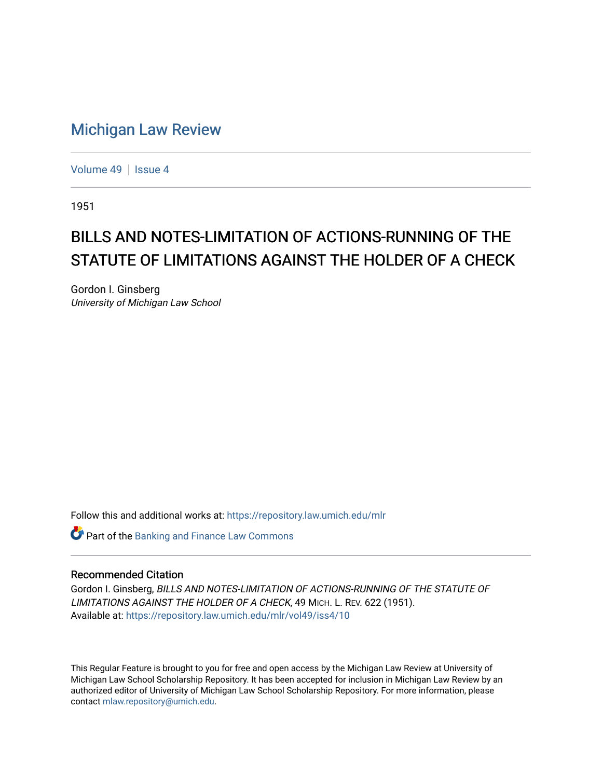## [Michigan Law Review](https://repository.law.umich.edu/mlr)

[Volume 49](https://repository.law.umich.edu/mlr/vol49) | [Issue 4](https://repository.law.umich.edu/mlr/vol49/iss4)

1951

## BILLS AND NOTES-LIMITATION OF ACTIONS-RUNNING OF THE STATUTE OF LIMITATIONS AGAINST THE HOLDER OF A CHECK

Gordon I. Ginsberg University of Michigan Law School

Follow this and additional works at: [https://repository.law.umich.edu/mlr](https://repository.law.umich.edu/mlr?utm_source=repository.law.umich.edu%2Fmlr%2Fvol49%2Fiss4%2F10&utm_medium=PDF&utm_campaign=PDFCoverPages) 

**Part of the Banking and Finance Law Commons** 

## Recommended Citation

Gordon I. Ginsberg, BILLS AND NOTES-LIMITATION OF ACTIONS-RUNNING OF THE STATUTE OF LIMITATIONS AGAINST THE HOLDER OF A CHECK, 49 MICH. L. REV. 622 (1951). Available at: [https://repository.law.umich.edu/mlr/vol49/iss4/10](https://repository.law.umich.edu/mlr/vol49/iss4/10?utm_source=repository.law.umich.edu%2Fmlr%2Fvol49%2Fiss4%2F10&utm_medium=PDF&utm_campaign=PDFCoverPages) 

This Regular Feature is brought to you for free and open access by the Michigan Law Review at University of Michigan Law School Scholarship Repository. It has been accepted for inclusion in Michigan Law Review by an authorized editor of University of Michigan Law School Scholarship Repository. For more information, please contact [mlaw.repository@umich.edu](mailto:mlaw.repository@umich.edu).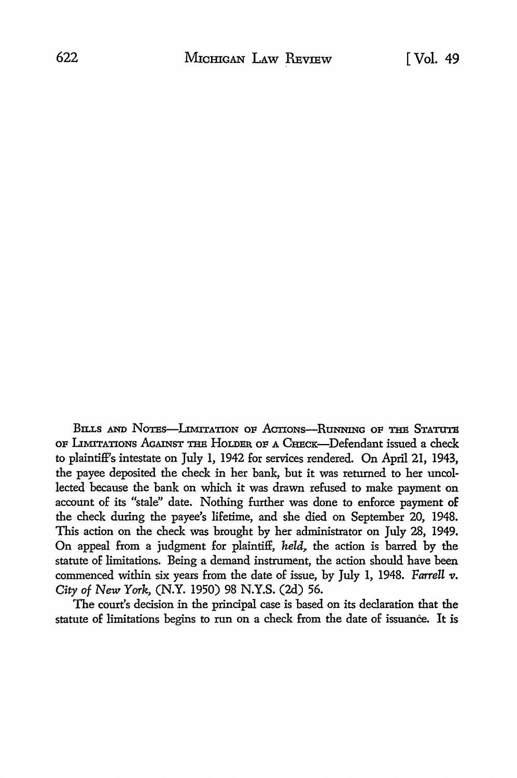BILLS AND NOTES-LIMITATION OF ACTIONS-RUNNING OF THE STATUTE OF LIMITATIONS AGAINST THE HOLDER OF A CHECK-Defendant issued a check to plaintiff's intestate on July 1, 1942 for services rendered. On April 21, 1943, the payee deposited the check in her bank, but it was returned to her uncollected because the bank on which it was drawn refused to make payment on account of its "stale" date. Nothing further was done to enforce payment **of**  the check during the payee's lifetime, and she died on September 20, 1948. This action on the check was brought by her administrator on July 28, 1949. On appeal from a judgment for plaintiff, *held*, the action is barred by the statute of limitations. Being a demand instrument, the action should have been commenced within six years from the date of issue, by July 1, 1948. *Farrell v*. *City* of New *York,* (N.Y. 1950) 98 N.Y.S. (2d) 56.

The court's decision in the principal case is based on its declaration that the statute of limitations begins to run on a check from the date of issuance. It is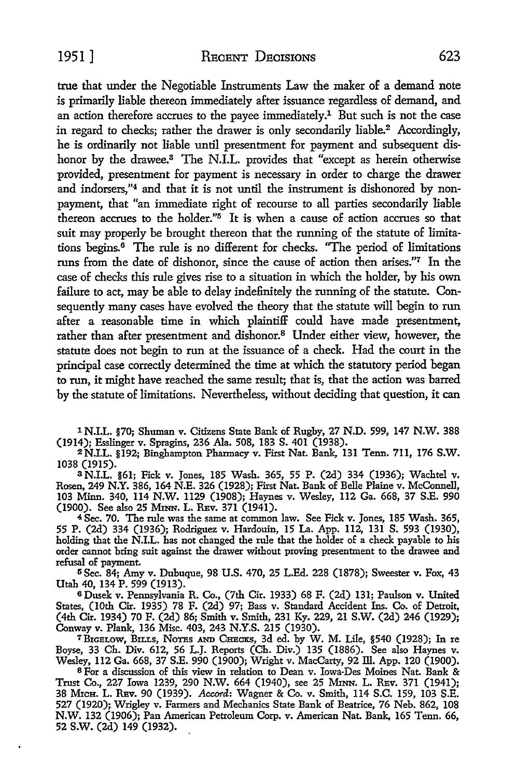true that under the Negotiable Instruments Law the maker of a demand note is primarily liable thereon immediately after issuance regardless of demand, and an action therefore accrues to the payee immediately.<sup>1</sup> But such is not the case in regard to checks; rather the drawer is only secondarily liable.<sup>2</sup> Accordingly, he is ordinarily not liable until presentment for payment and subsequent dishonor by the drawee.<sup>3</sup> The N.I.L. provides that "except as herein otherwise provided, presentment for payment is necessary in order to charge the drawer and indorsers,"4 and that it is not until the instrument is dishonored by nonpayment, that "an immediate right of recourse *to* all parties secondarily liable thereon accrues to the holder." $5$  It is when a cause of action accrues so that suit may properly be brought thereon that the running of the statute of limitations begins. $6$  The rule is no different for checks. "The period of limitations runs from the date of dishonor, since the cause of action then arises.''7 In the case of checks this rule gives rise *to* a situation in which the holder, by his own failure to act, may be able to delay indefinitely the running of the statute. Consequently many cases have evolved the theory that the statute will begin to run after a reasonable time in which plaintiff could have made presentment, rather than after presentment and dishonor.<sup>8</sup> Under either view, however, the statute does not begin to run at the issuance of a check. Had the court in the principal case correctly determined the time at which the statutory period began to run, it might have reached the same result; that is, that the action was barred by the statute of limitations. Nevertheless, without deciding that question, it can

1 N.I.L. §70; Shuman v. Citizens State Bank of Rugby, 27 N.D. 599, 147 N.W. 388 (1914); Esslinger v. Spragins, 236 Ala. 508, 183 S. 401 (1938).

2N.I.L. §192; Binghampton Pharmacy v. First Nat. Bank, 131 Tenn. 711, 176 S.W. 1038 (1915).

s N.I.L. §61; Fick v. Jones, 185 Wash. 365, 55 P. (2d) 334 (1936); Wachtel v. Rosen, 249 N.Y. 386, 164 N.E. 326 (1928); First Nat. Bank of Belle Plaine v. McConnell, 103 Minn. 340, 114 N.W. 1129 (1908); Haynes v. Wesley, 112 Ga. 668, 37 S.E. 990 (1900). See also 25 MmN. L. REv. 371 (1941).

<sup>4</sup>Sec. 70. The rule was the same at common law. See Fick v. Jones, 185 Wash. 365, 55 P. (2d) 334 (1936); Rodriguez v. Hardouin, 15 La. App. 112, 131 S. 593 (1930), holding that the N.I.L. has not changed the rule that the holder of a check payable to his order cannot bring suit against the drawer without proving presentment to the drawee and refusal of payment.

5 Sec. 84; Amy v. Dubuque, 98 U.S. 470, 25 L.Ed. 228 (1878); Sweester v. Fox, 43 Utah 40, 134 P. 599 (1913).

<sup>6</sup>Dusek v. Pennsylvania R. Co., (7th Cir. 1933) 68 F. (2d) 131; Paulson v. United States, (10th Cir. 1935) 78 F. (2d) 97; Bass v. Standard Accident Ins. Co. of Detroit, (4th Cir. 1934) 70 F. (2d) 86; Smith v. Smith, 231 Ky. 229, 21 S.W. (2d) 246 (1929); Conway v. Plank, 136 Misc. 403, 243 N.Y.S. 215 (1930).

7BIGBLow, BILLs, NOTBs AND CHBcxs, 3d ed. by W. M. Lile, §540 (1928); In re Boyse, 33 Ch. *Div.* 612, 56 L.J. Reports (Ch. Div.) 135 (1886). See also Haynes v. Wesley, 112 Ga. 668, 37 S.E. 990 (1900); Wright v. MacCarty, 92 ill. App. 120 (1900).

<sup>8</sup>For a discussion of this view in relation to Dean v. Iowa-Des Moines Nat. Bank & Trust Co., 227 Iowa 1239, 290 N.W. 664 (1940), see 25 MnN. L. REv. 371 (1941); 38 MxcH. L. REv. 90 (1939). *Accord:* Wagner & Co. v. Smith, 114 S.C. 159, 103 S.E. 527 (1920); Wrigley v. Farmers and Mechanics State Bank of Beatrice, 76 Neb. 862, 108 N.W. 132 (1906); Pan American Petroleum Corp. v. American Nat. Bank, 165 Tenn. 66, 52 s.w. (2d) 149 (1932).